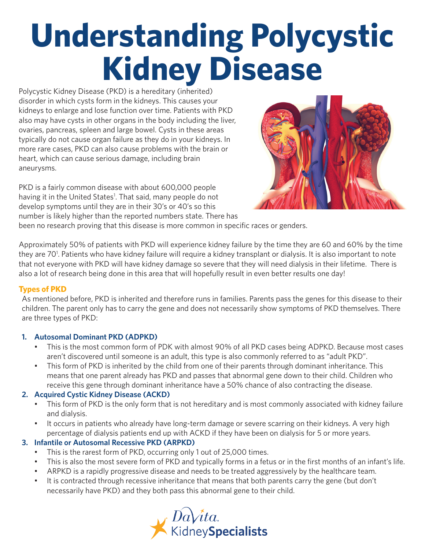# **Understanding Polycystic Kidney Disease**

Polycystic Kidney Disease (PKD) is a hereditary (inherited) disorder in which cysts form in the kidneys. This causes your kidneys to enlarge and lose function over time. Patients with PKD also may have cysts in other organs in the body including the liver, ovaries, pancreas, spleen and large bowel. Cysts in these areas typically do not cause organ failure as they do in your kidneys. In more rare cases, PKD can also cause problems with the brain or heart, which can cause serious damage, including brain aneurysms.

PKD is a fairly common disease with about 600,000 people having it in the United States<sup>1</sup>. That said, many people do not develop symptoms until they are in their 30's or 40's so this number is likely higher than the reported numbers state. There has



been no research proving that this disease is more common in specific races or genders.

Approximately 50% of patients with PKD will experience kidney failure by the time they are 60 and 60% by the time they are 70<sup>1</sup>. Patients who have kidney failure will require a kidney transplant or dialysis. It is also important to note that not everyone with PKD will have kidney damage so severe that they will need dialysis in their lifetime. There is also a lot of research being done in this area that will hopefully result in even better results one day!

### **Types of PKD**

As mentioned before, PKD is inherited and therefore runs in families. Parents pass the genes for this disease to their children. The parent only has to carry the gene and does not necessarily show symptoms of PKD themselves. There are three types of PKD:

### **1. Autosomal Dominant PKD (ADPKD)**

- This is the most common form of PDK with almost 90% of all PKD cases being ADPKD. Because most cases aren't discovered until someone is an adult, this type is also commonly referred to as "adult PKD".
- This form of PKD is inherited by the child from one of their parents through dominant inheritance. This means that one parent already has PKD and passes that abnormal gene down to their child. Children who receive this gene through dominant inheritance have a 50% chance of also contracting the disease.

### **2. Acquired Cystic Kidney Disease (ACKD)**

- This form of PKD is the only form that is not hereditary and is most commonly associated with kidney failure and dialysis.
- It occurs in patients who already have long-term damage or severe scarring on their kidneys. A very high percentage of dialysis patients end up with ACKD if they have been on dialysis for 5 or more years.

### **3. Infantile or Autosomal Recessive PKD (ARPKD)**

- This is the rarest form of PKD, occurring only 1 out of 25,000 times.
- This is also the most severe form of PKD and typically forms in a fetus or in the first months of an infant's life.
- ARPKD is a rapidly progressive disease and needs to be treated aggressively by the healthcare team.
- It is contracted through recessive inheritance that means that both parents carry the gene (but don't necessarily have PKD) and they both pass this abnormal gene to their child.